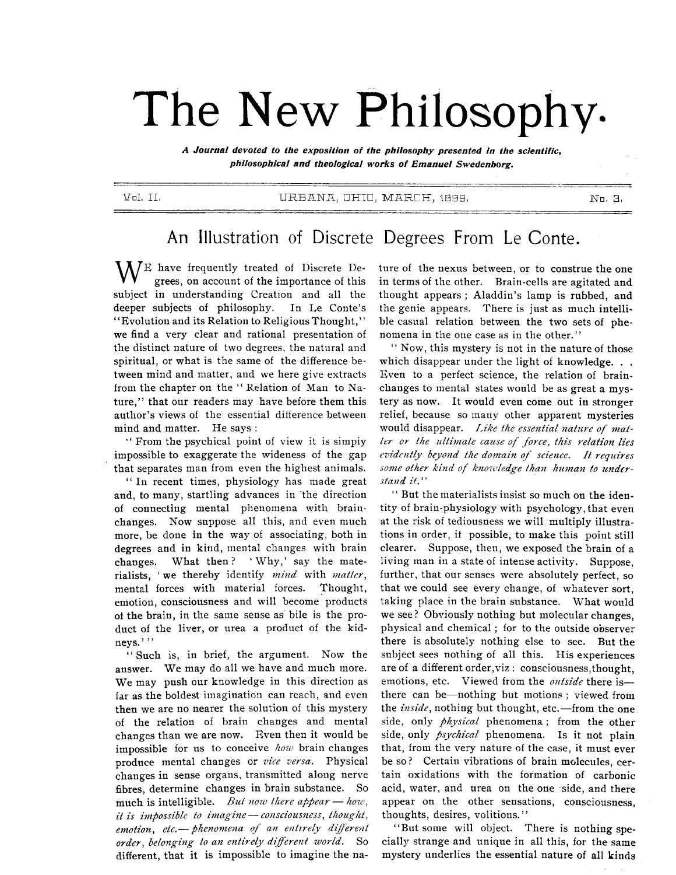## The New Philosophy.

*A Journal devoted to the exposition of the philosophy presented in the scientific, philosophical and theological works of Emanuel Swedenborg.* 

## ynl . II , URBANA , DHID j MARCH , IBB9 , No , 3,

## An Illustration of Discrete Degrees From Le Conte.

 $\Lambda/E$  have frequently treated of Discrete Degrees, on account of the importance of this subject in understanding Creation and all the deeper subjects of philosophy. In Le Conte's "Evolution and its Relation to Religious Thought, " we find a very clear and rational presentation of the distinct nature of two degrees, the natural and spiritual, or what is the same of the difference between mind and matter, and we here give extracts from the chapter on the \*' Relation of Man to Nature," that our readers may have before them this author's views of the essential difference between mind and matter. He says :

" From the psychical point of view it is simpiy impossible to exaggerate the wideness of the gap that separates man from even the highest animals.

" In recent times, physiology has made great and, to many, startling advances in "the direction of connecting mental phenomena with brainchanges. Now suppose all this, and even much more, be done in the way of associating, both in degrees and in kind, mental changes with brain changes. What then? 'Why,' say the materialists, ' we thereby identify *mind* with *matter,*  mental forces with material forces. Thought, emotion, consciousness and will become products of the brain, in the same sense as bile is the product of the liver, or urea a product of the kidneys. ' ''

"Such is, in brief, the argument. Now the answer. We may do all we have and much more. We may push our knowledge in this direction as far as the boldest imagination can reach, and even then we are no nearer the solution of this mystery of the relation of brain changes and mental changes than we are now. Even then it would be impossible for us to conceive *how* brain changes produce mental changes or *vice versa.* Physical changes in sense organs, transmitted along nerve fibres, determine changes in brain substance. So much is intelligible. *But now there appear — how*, *it is impossible to imagine—consciousness, thought, emotion, etc,— phenomena of an entirely different order, belonging to an entirely different world.* So different, that it is impossible to imagine the na-

ture of the nexus between, or to construe the one in terms of the other. Brain-cells are agitated and thought appears ; Aladdin's lamp is rubbed, and the genie appears. There is just as much intellible casual relation between the two sets of phenomena in the one case as in the other."

" Now, this mystery is not in the nature of those which disappear under the light of knowledge. . . Even to a perfect science, the relation of brainchanges to mental states would be as great a mystery as now. It would even come out in stronger relief, because so many other apparent mysteries would disappear. *Like the essential nature of matter or the ultimate cause of force, this relation lies evidently beyond the domain of science. It requires*  some other kind of knowledge than human to under*stand it.}}* 

" But the materialists insist so much on the identity of brain-physiology with psychology, that even at the risk of tediousness we will multiply illustrations in order, if possible, to make this point still clearer. Suppose, then, we exposed the brain of a living man in a state of intense activity. Suppose, further, that our senses were absolutely perfect, so that we could see every change, of whatever sort, taking place in the brain substance. What would we see ? Obviously nothing but molecular changes, physical and chemical ; for to the outside observer there is absolutely nothing else to see. But the subject sees nothing of all this. His experiences are of a different order, viz : consciousness, thought, emotions, etc. Viewed from the *outside* there isthere can be—nothing but motions ; viewed from the *inside,* nothing but thought, etc.—from the one side, only *physical* phenomena ; from the other side, only *psychical* phenomena. Is it not plain that, from the very nature of the case, it must ever be so ? Certain vibrations of brain molecules, certain oxidations with the formation of carbonic acid, water, and urea on the one side, and there appear on the other sensations, consciousness, thoughts, desires, volitions. "

"But some will object. There is nothing specialty strange and unique in all this, for the same mystery underlies the essential nature of all kinds